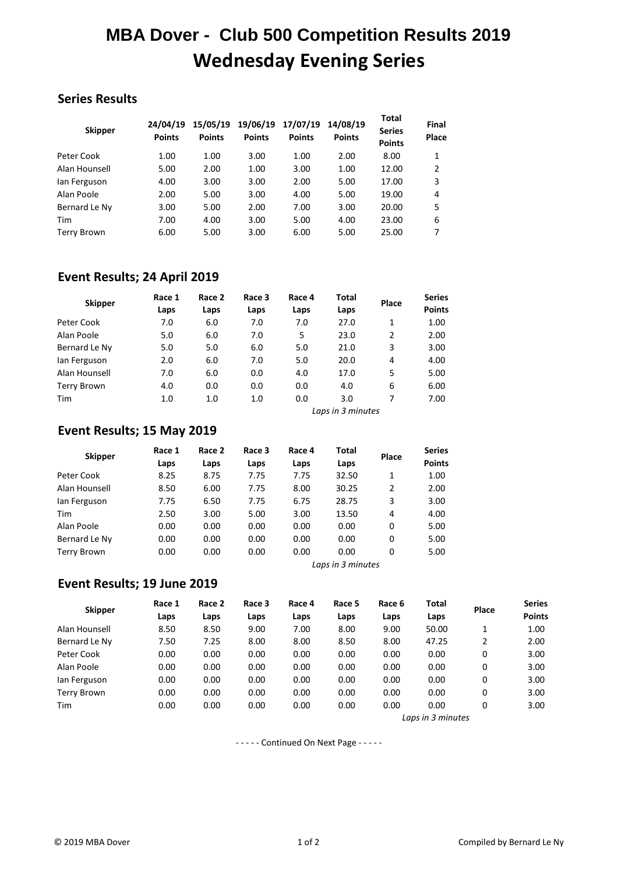# **MBA Dover - Club 500 Competition Results 2019 Wednesday Evening Series**

## **Series Results**

| <b>Skipper</b> | 24/04/19<br><b>Points</b> | 15/05/19<br><b>Points</b> | 19/06/19<br><b>Points</b> | 17/07/19<br><b>Points</b> | 14/08/19<br><b>Points</b> | <b>Total</b><br><b>Series</b><br><b>Points</b> | Final<br>Place |
|----------------|---------------------------|---------------------------|---------------------------|---------------------------|---------------------------|------------------------------------------------|----------------|
| Peter Cook     | 1.00                      | 1.00                      | 3.00                      | 1.00                      | 2.00                      | 8.00                                           | 1              |
| Alan Hounsell  | 5.00                      | 2.00                      | 1.00                      | 3.00                      | 1.00                      | 12.00                                          | 2              |
| lan Ferguson   | 4.00                      | 3.00                      | 3.00                      | 2.00                      | 5.00                      | 17.00                                          | 3              |
| Alan Poole     | 2.00                      | 5.00                      | 3.00                      | 4.00                      | 5.00                      | 19.00                                          | 4              |
| Bernard Le Ny  | 3.00                      | 5.00                      | 2.00                      | 7.00                      | 3.00                      | 20.00                                          | 5              |
| Tim            | 7.00                      | 4.00                      | 3.00                      | 5.00                      | 4.00                      | 23.00                                          | 6              |
| Terry Brown    | 6.00                      | 5.00                      | 3.00                      | 6.00                      | 5.00                      | 25.00                                          | 7              |

### **Event Results; 24 April 2019**

| <b>Skipper</b>     | Race 1 | Race 2 | Race 3 | Race 4 | Total | Place | <b>Series</b> |
|--------------------|--------|--------|--------|--------|-------|-------|---------------|
|                    | Laps   | Laps   | Laps   | Laps   | Laps  |       | <b>Points</b> |
| Peter Cook         | 7.0    | 6.0    | 7.0    | 7.0    | 27.0  | 1     | 1.00          |
| Alan Poole         | 5.0    | 6.0    | 7.0    | 5      | 23.0  | 2     | 2.00          |
| Bernard Le Ny      | 5.0    | 5.0    | 6.0    | 5.0    | 21.0  | 3     | 3.00          |
| lan Ferguson       | 2.0    | 6.0    | 7.0    | 5.0    | 20.0  | 4     | 4.00          |
| Alan Hounsell      | 7.0    | 6.0    | 0.0    | 4.0    | 17.0  | 5     | 5.00          |
| <b>Terry Brown</b> | 4.0    | 0.0    | 0.0    | 0.0    | 4.0   | 6     | 6.00          |
| Tim                | 1.0    | 1.0    | 1.0    | 0.0    | 3.0   |       | 7.00          |

*Laps in 3 minutes*

## **Event Results; 15 May 2019**

| <b>Skipper</b>    | Race 1<br>Laps | Race 2<br>Laps | Race 3<br>Laps | Race 4<br>Laps | Total<br>Laps | Place          | <b>Series</b><br><b>Points</b> |
|-------------------|----------------|----------------|----------------|----------------|---------------|----------------|--------------------------------|
| Peter Cook        | 8.25           | 8.75           | 7.75           | 7.75           | 32.50         | 1              | 1.00                           |
| Alan Hounsell     | 8.50           | 6.00           | 7.75           | 8.00           | 30.25         | $\overline{2}$ | 2.00                           |
|                   |                |                |                |                |               |                |                                |
| lan Ferguson      | 7.75           | 6.50           | 7.75           | 6.75           | 28.75         | 3              | 3.00                           |
| Tim               | 2.50           | 3.00           | 5.00           | 3.00           | 13.50         | 4              | 4.00                           |
| Alan Poole        | 0.00           | 0.00           | 0.00           | 0.00           | 0.00          | 0              | 5.00                           |
| Bernard Le Ny     | 0.00           | 0.00           | 0.00           | 0.00           | 0.00          | 0              | 5.00                           |
| Terry Brown       | 0.00           | 0.00           | 0.00           | 0.00           | 0.00          | 0              | 5.00                           |
| Laps in 3 minutes |                |                |                |                |               |                |                                |

#### **Event Results; 19 June 2019**

| <b>Skipper</b> | Race 1<br>Laps | Race 2 | Race 3 | Race 4 | Race 5 | Race 6 | Total             | Place         | <b>Series</b> |
|----------------|----------------|--------|--------|--------|--------|--------|-------------------|---------------|---------------|
|                |                | Laps   | Laps   | Laps   | Laps   | Laps   | Laps              |               | <b>Points</b> |
| Alan Hounsell  | 8.50           | 8.50   | 9.00   | 7.00   | 8.00   | 9.00   | 50.00             | 1             | 1.00          |
| Bernard Le Ny  | 7.50           | 7.25   | 8.00   | 8.00   | 8.50   | 8.00   | 47.25             | $\mathcal{P}$ | 2.00          |
| Peter Cook     | 0.00           | 0.00   | 0.00   | 0.00   | 0.00   | 0.00   | 0.00              | 0             | 3.00          |
| Alan Poole     | 0.00           | 0.00   | 0.00   | 0.00   | 0.00   | 0.00   | 0.00              | 0             | 3.00          |
| lan Ferguson   | 0.00           | 0.00   | 0.00   | 0.00   | 0.00   | 0.00   | 0.00              | 0             | 3.00          |
| Terry Brown    | 0.00           | 0.00   | 0.00   | 0.00   | 0.00   | 0.00   | 0.00              | 0             | 3.00          |
| Tim            | 0.00           | 0.00   | 0.00   | 0.00   | 0.00   | 0.00   | 0.00              | 0             | 3.00          |
|                |                |        |        |        |        |        | Laps in 3 minutes |               |               |